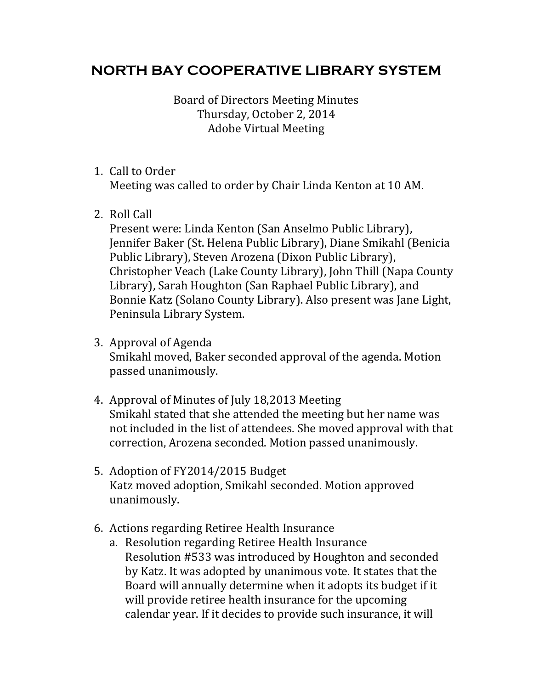## **NORTH BAY COOPERATIVE LIBRARY SYSTEM**

Board of Directors Meeting Minutes Thursday, October 2, 2014 Adobe Virtual Meeting 

## 1. Call to Order

Meeting was called to order by Chair Linda Kenton at 10 AM.

2. Roll Call

Present were: Linda Kenton (San Anselmo Public Library), Jennifer Baker (St. Helena Public Library), Diane Smikahl (Benicia Public Library), Steven Arozena (Dixon Public Library), Christopher Veach (Lake County Library), John Thill (Napa County Library), Sarah Houghton (San Raphael Public Library), and Bonnie Katz (Solano County Library). Also present was Jane Light, Peninsula Library System.

- 3. Approval of Agenda Smikahl moved, Baker seconded approval of the agenda. Motion passed unanimously.
- 4. Approval of Minutes of July 18,2013 Meeting Smikahl stated that she attended the meeting but her name was not included in the list of attendees. She moved approval with that correction, Arozena seconded. Motion passed unanimously.
- 5. Adoption of FY2014/2015 Budget Katz moved adoption, Smikahl seconded. Motion approved unanimously.
- 6. Actions regarding Retiree Health Insurance
	- a. Resolution regarding Retiree Health Insurance Resolution #533 was introduced by Houghton and seconded by Katz. It was adopted by unanimous vote. It states that the Board will annually determine when it adopts its budget if it will provide retiree health insurance for the upcoming calendar year. If it decides to provide such insurance, it will